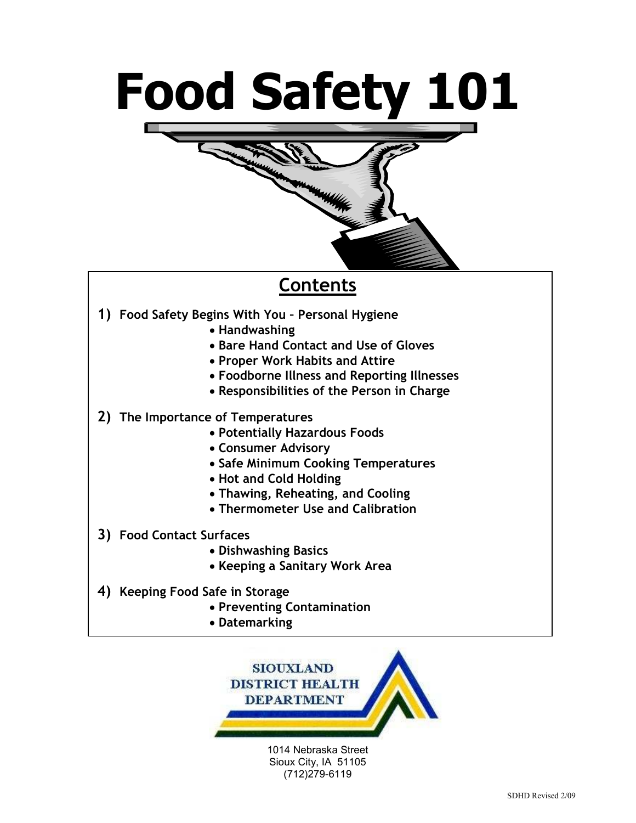# Food Safety 101



#### Contents

- 1) Food Safety Begins With You Personal Hygiene
	- Handwashing
	- Bare Hand Contact and Use of Gloves
	- Proper Work Habits and Attire
	- Foodborne Illness and Reporting Illnesses
	- Responsibilities of the Person in Charge
- 2) The Importance of Temperatures
	- Potentially Hazardous Foods
	- Consumer Advisory
	- Safe Minimum Cooking Temperatures
	- Hot and Cold Holding
	- Thawing, Reheating, and Cooling
	- Thermometer Use and Calibration
- 3) Food Contact Surfaces
	- Dishwashing Basics
	- Keeping a Sanitary Work Area
- 4) Keeping Food Safe in Storage
	- Preventing Contamination
	- Datemarking



1014 Nebraska Street Sioux City, IA 51105 (712)279-6119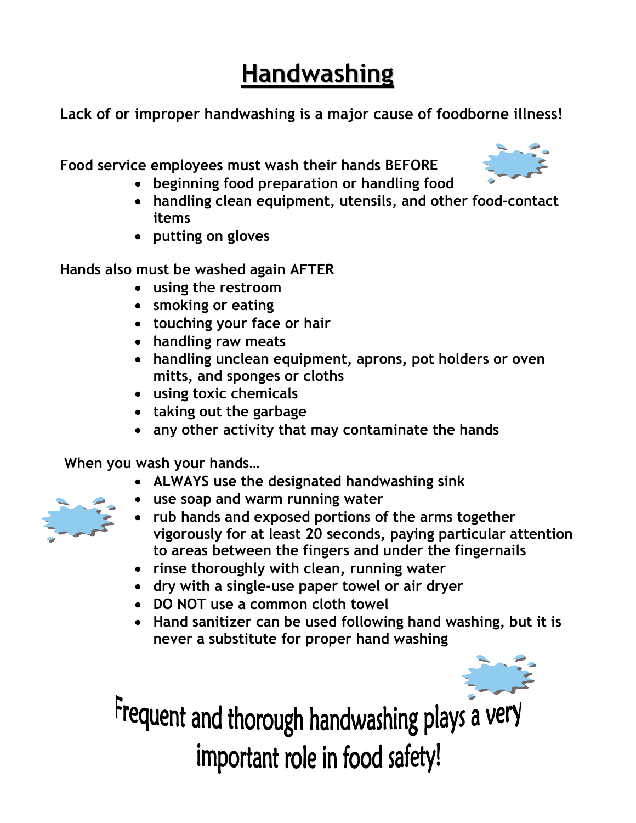# **Handwashing**

Lack of or improper handwashing is a major cause of foodborne illness!

Food service employees must wash their hands BEFORE

- beginning food preparation or handling food
- handling clean equipment, utensils, and other food-contact items
- putting on gloves

Hands also must be washed again AFTER

- using the restroom
- smoking or eating
- touching your face or hair
- handling raw meats
- handling unclean equipment, aprons, pot holders or oven mitts, and sponges or cloths
- using toxic chemicals
- taking out the garbage
- any other activity that may contaminate the hands

When you wash your hands…

- ALWAYS use the designated handwashing sink
- use soap and warm running water
- rub hands and exposed portions of the arms together vigorously for at least 20 seconds, paying particular attention to areas between the fingers and under the fingernails
- rinse thoroughly with clean, running water
- dry with a single-use paper towel or air dryer
- DO NOT use a common cloth towel
- Hand sanitizer can be used following hand washing, but it is never a substitute for proper hand washing



Frequent and thorough handwashing plays a very important role in food safety!



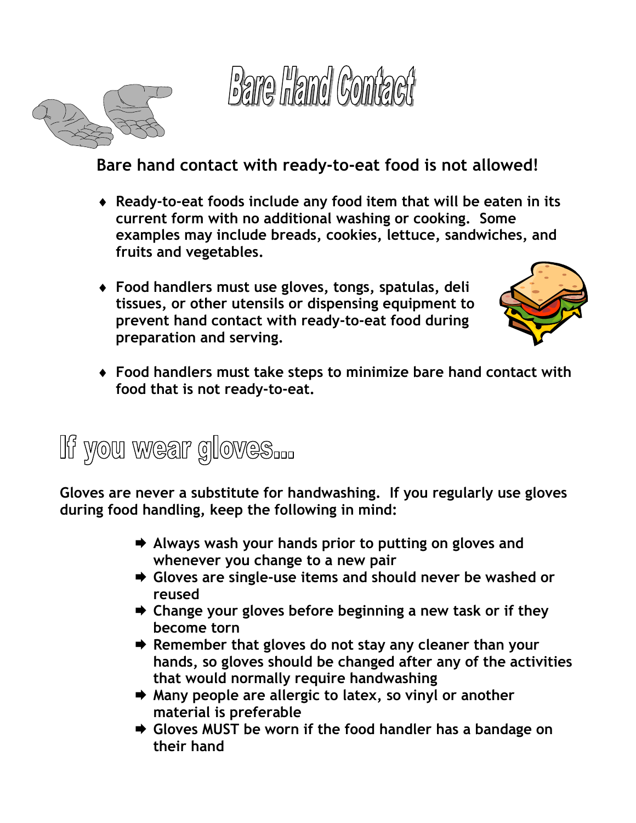



#### Bare hand contact with ready-to-eat food is not allowed!

- ♦ Ready-to-eat foods include any food item that will be eaten in its current form with no additional washing or cooking. Some examples may include breads, cookies, lettuce, sandwiches, and fruits and vegetables.
- ♦ Food handlers must use gloves, tongs, spatulas, deli tissues, or other utensils or dispensing equipment to prevent hand contact with ready-to-eat food during preparation and serving.



♦ Food handlers must take steps to minimize bare hand contact with food that is not ready-to-eat.

## If you wear gloves...

Gloves are never a substitute for handwashing. If you regularly use gloves during food handling, keep the following in mind:

- $\rightarrow$  Always wash your hands prior to putting on gloves and whenever you change to a new pair
- **→ Gloves are single-use items and should never be washed or** reused
- $\rightarrow$  Change your gloves before beginning a new task or if they become torn
- $\rightarrow$  Remember that gloves do not stay any cleaner than your hands, so gloves should be changed after any of the activities that would normally require handwashing
- **★ Many people are allergic to latex, so vinyl or another** material is preferable
- **→ Gloves MUST be worn if the food handler has a bandage on** their hand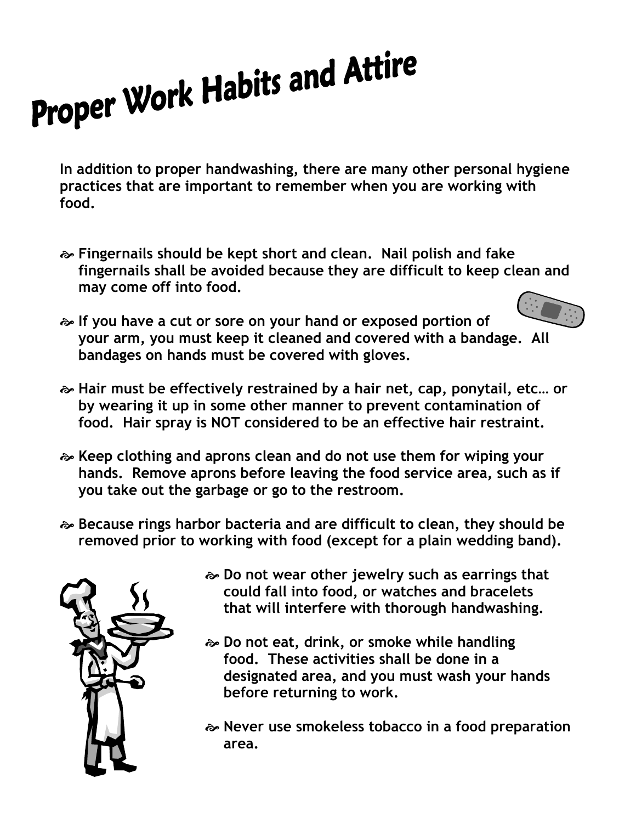# Proper Work Habits and Attire

In addition to proper handwashing, there are many other personal hygiene practices that are important to remember when you are working with food.

- Fingernails should be kept short and clean. Nail polish and fake fingernails shall be avoided because they are difficult to keep clean and may come off into food.
- If you have a cut or sore on your hand or exposed portion of your arm, you must keep it cleaned and covered with a bandage. All bandages on hands must be covered with gloves.
- Hair must be effectively restrained by a hair net, cap, ponytail, etc… or by wearing it up in some other manner to prevent contamination of food. Hair spray is NOT considered to be an effective hair restraint.
- Keep clothing and aprons clean and do not use them for wiping your hands. Remove aprons before leaving the food service area, such as if you take out the garbage or go to the restroom.
- Because rings harbor bacteria and are difficult to clean, they should be removed prior to working with food (except for a plain wedding band).



- Do not wear other jewelry such as earrings that could fall into food, or watches and bracelets that will interfere with thorough handwashing.
- Do not eat, drink, or smoke while handling food. These activities shall be done in a designated area, and you must wash your hands before returning to work.
- Never use smokeless tobacco in a food preparation area.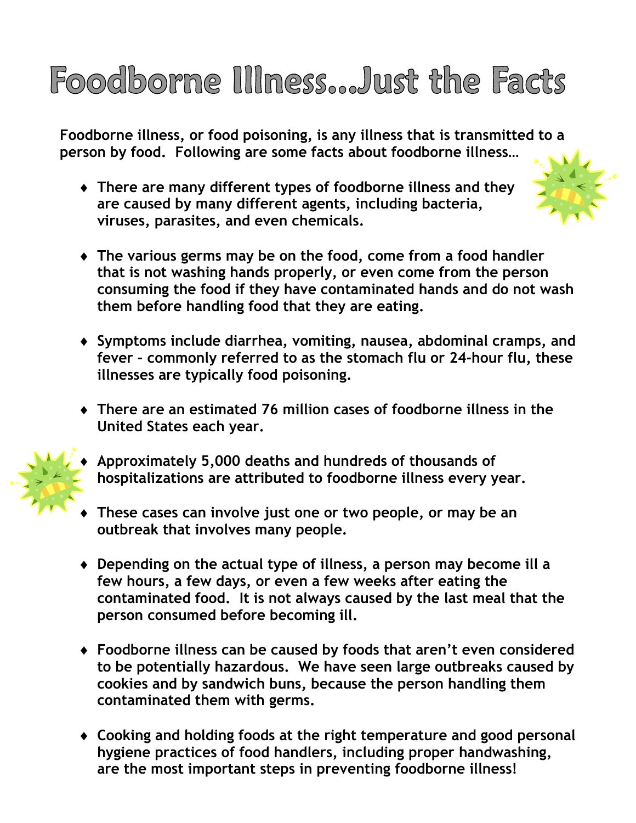# Foodborne Illness...Just the Facts

Foodborne illness, or food poisoning, is any illness that is transmitted to a person by food. Following are some facts about foodborne illness…

♦ There are many different types of foodborne illness and they are caused by many different agents, including bacteria, viruses, parasites, and even chemicals.



- ♦ The various germs may be on the food, come from a food handler that is not washing hands properly, or even come from the person consuming the food if they have contaminated hands and do not wash them before handling food that they are eating.
- ♦ Symptoms include diarrhea, vomiting, nausea, abdominal cramps, and fever – commonly referred to as the stomach flu or 24-hour flu, these illnesses are typically food poisoning.
- ♦ There are an estimated 76 million cases of foodborne illness in the United States each year.



- Approximately 5,000 deaths and hundreds of thousands of hospitalizations are attributed to foodborne illness every year.
- These cases can involve just one or two people, or may be an outbreak that involves many people.
- ♦ Depending on the actual type of illness, a person may become ill a few hours, a few days, or even a few weeks after eating the contaminated food. It is not always caused by the last meal that the person consumed before becoming ill.
- ♦ Foodborne illness can be caused by foods that aren't even considered to be potentially hazardous. We have seen large outbreaks caused by cookies and by sandwich buns, because the person handling them contaminated them with germs.
- ♦ Cooking and holding foods at the right temperature and good personal hygiene practices of food handlers, including proper handwashing, are the most important steps in preventing foodborne illness!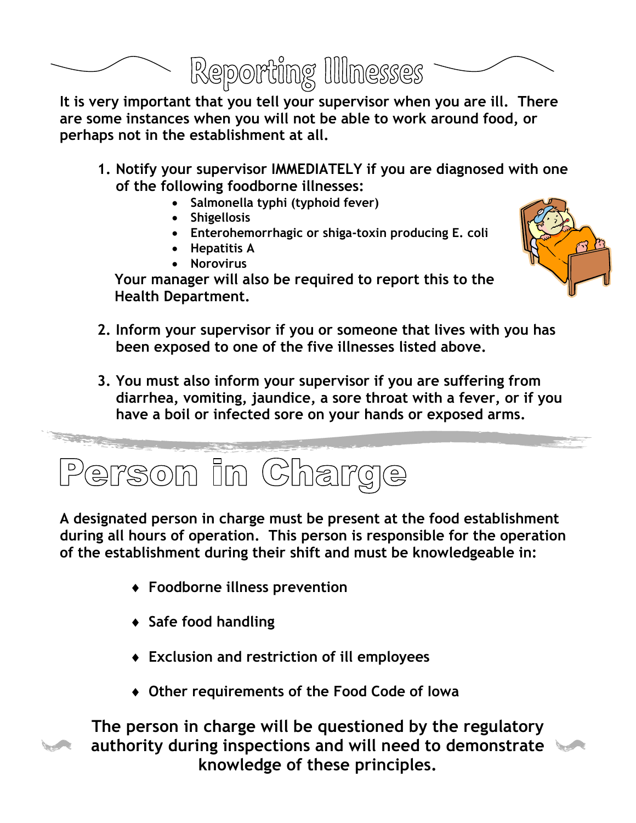

It is very important that you tell your supervisor when you are ill. There are some instances when you will not be able to work around food, or perhaps not in the establishment at all.

- 1. Notify your supervisor IMMEDIATELY if you are diagnosed with one of the following foodborne illnesses:
	- Salmonella typhi (typhoid fever)
	- Shigellosis
	- Enterohemorrhagic or shiga-toxin producing E. coli
	- Hepatitis A
	- Norovirus



- Your manager will also be required to report this to the Health Department.
- 2. Inform your supervisor if you or someone that lives with you has been exposed to one of the five illnesses listed above.
- 3. You must also inform your supervisor if you are suffering from diarrhea, vomiting, jaundice, a sore throat with a fever, or if you have a boil or infected sore on your hands or exposed arms.



A designated person in charge must be present at the food establishment during all hours of operation. This person is responsible for the operation of the establishment during their shift and must be knowledgeable in:

- ♦ Foodborne illness prevention
- ♦ Safe food handling
- ♦ Exclusion and restriction of ill employees
- ♦ Other requirements of the Food Code of Iowa



The person in charge will be questioned by the regulatory authority during inspections and will need to demonstrate knowledge of these principles.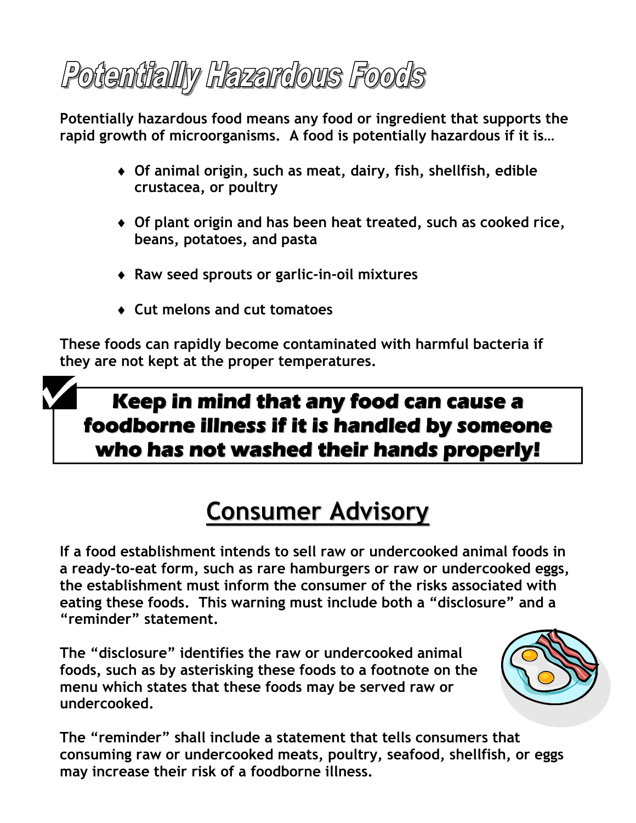# Potentially Hazardous Foods

Potentially hazardous food means any food or ingredient that supports the rapid growth of microorganisms. A food is potentially hazardous if it is…

- ♦ Of animal origin, such as meat, dairy, fish, shellfish, edible crustacea, or poultry
- ♦ Of plant origin and has been heat treated, such as cooked rice, beans, potatoes, and pasta
- ♦ Raw seed sprouts or garlic-in-oil mixtures
- ♦ Cut melons and cut tomatoes

These foods can rapidly become contaminated with harmful bacteria if they are not kept at the proper temperatures.

#### **Keep in mind that any food can cause a foodborne illness if it is handled by someone who has not washed their hands properly!**

# Consumer Advisory

If a food establishment intends to sell raw or undercooked animal foods in a ready-to-eat form, such as rare hamburgers or raw or undercooked eggs, the establishment must inform the consumer of the risks associated with eating these foods. This warning must include both a "disclosure" and a "reminder" statement.

The "disclosure" identifies the raw or undercooked animal foods, such as by asterisking these foods to a footnote on the menu which states that these foods may be served raw or undercooked.



The "reminder" shall include a statement that tells consumers that consuming raw or undercooked meats, poultry, seafood, shellfish, or eggs may increase their risk of a foodborne illness.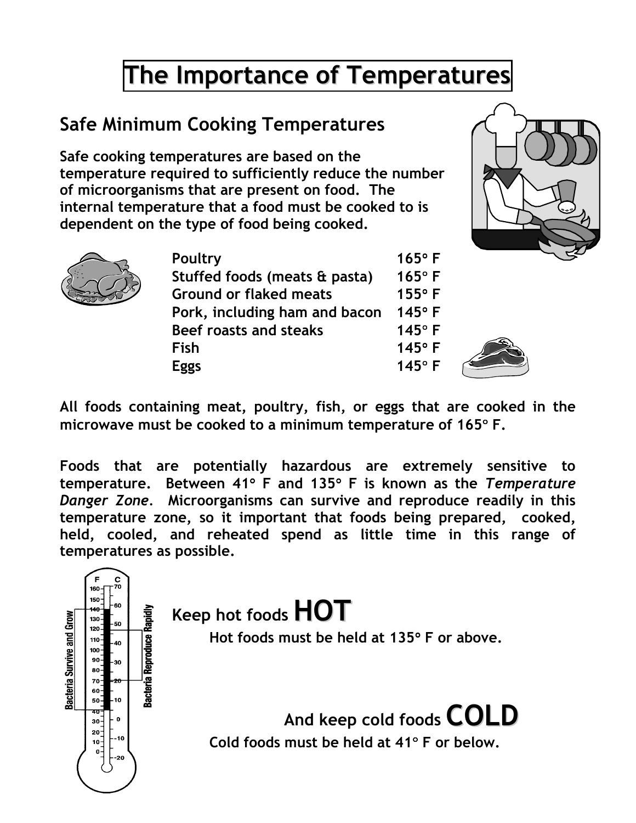# The Importance of Temperatures

#### Safe Minimum Cooking Temperatures

Safe cooking temperatures are based on the temperature required to sufficiently reduce the number of microorganisms that are present on food. The internal temperature that a food must be cooked to is dependent on the type of food being cooked.





|  | Poultry                       | $165^\circ$ F |
|--|-------------------------------|---------------|
|  | Stuffed foods (meats & pasta) | $165^\circ$ F |
|  | <b>Ground or flaked meats</b> | $155^\circ$ F |
|  | Pork, including ham and bacon | $145^\circ$ F |
|  | Beef roasts and steaks        | $145°$ F      |
|  | <b>Fish</b>                   | $145°$ F      |
|  |                               | $145°$ F      |
|  |                               |               |



All foods containing meat, poultry, fish, or eggs that are cooked in the microwave must be cooked to a minimum temperature of 165° F.

Foods that are potentially hazardous are extremely sensitive to temperature. Between 41° F and 135° F is known as the Temperature Danger Zone. Microorganisms can survive and reproduce readily in this temperature zone, so it important that foods being prepared, cooked, held, cooled, and reheated spend as little time in this range of temperatures as possible.

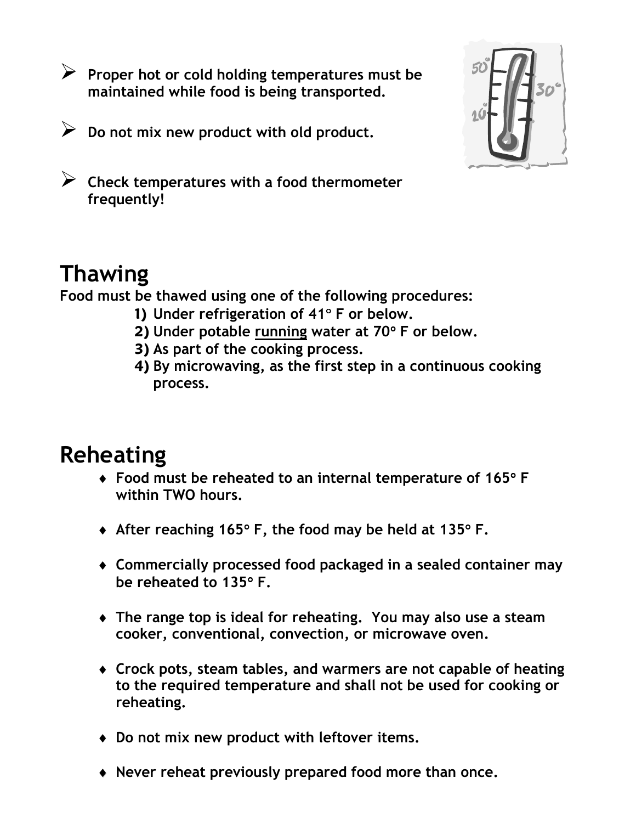- Proper hot or cold holding temperatures must be maintained while food is being transported.
- Do not mix new product with old product.



- Check temperatures with a food thermometer frequently!

#### Thawing

Food must be thawed using one of the following procedures:

- 1) Under refrigeration of 41° F or below.
- 2) Under potable running water at 70° F or below.
- 3) As part of the cooking process.
- 4) By microwaving, as the first step in a continuous cooking process.

#### Reheating

- ♦ Food must be reheated to an internal temperature of 165° F within TWO hours.
- ♦ After reaching 165° F, the food may be held at 135° F.
- ♦ Commercially processed food packaged in a sealed container may be reheated to 135° F.
- ♦ The range top is ideal for reheating. You may also use a steam cooker, conventional, convection, or microwave oven.
- ♦ Crock pots, steam tables, and warmers are not capable of heating to the required temperature and shall not be used for cooking or reheating.
- ♦ Do not mix new product with leftover items.
- ♦ Never reheat previously prepared food more than once.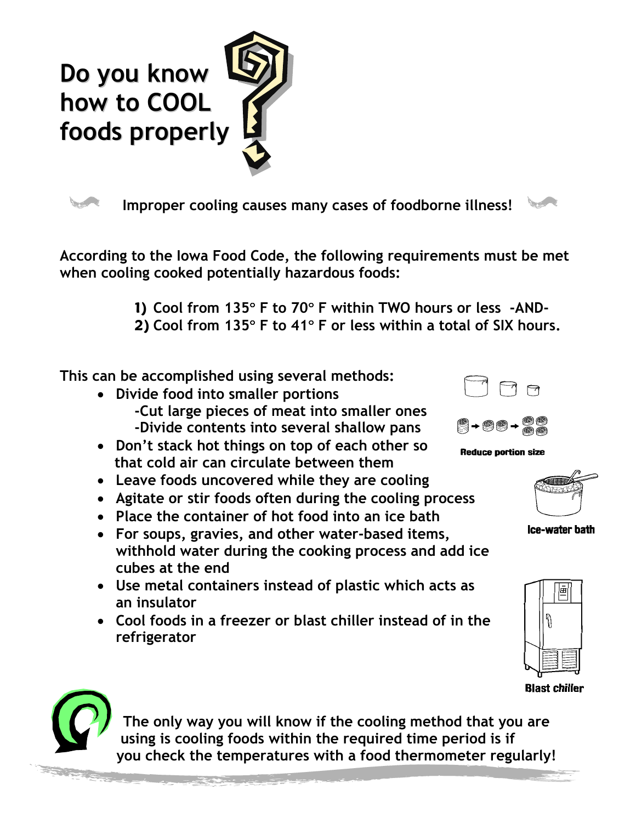



Improper cooling causes many cases of foodborne illness!

According to the Iowa Food Code, the following requirements must be met when cooling cooked potentially hazardous foods:

> 1) Cool from 135° F to 70° F within TWO hours or less -AND-2) Cool from 135° F to 41° F or less within a total of SIX hours.

This can be accomplished using several methods:

- Divide food into smaller portions -Cut large pieces of meat into smaller ones -Divide contents into several shallow pans
- Don't stack hot things on top of each other so that cold air can circulate between them
- Leave foods uncovered while they are cooling
- Agitate or stir foods often during the cooling process
- Place the container of hot food into an ice bath
- For soups, gravies, and other water-based items, withhold water during the cooking process and add ice cubes at the end
- Use metal containers instead of plastic which acts as an insulator
- Cool foods in a freezer or blast chiller instead of in the refrigerator



**Contractor** 







Ice-water bath





The only way you will know if the cooling method that you are using is cooling foods within the required time period is if you check the temperatures with a food thermometer regularly!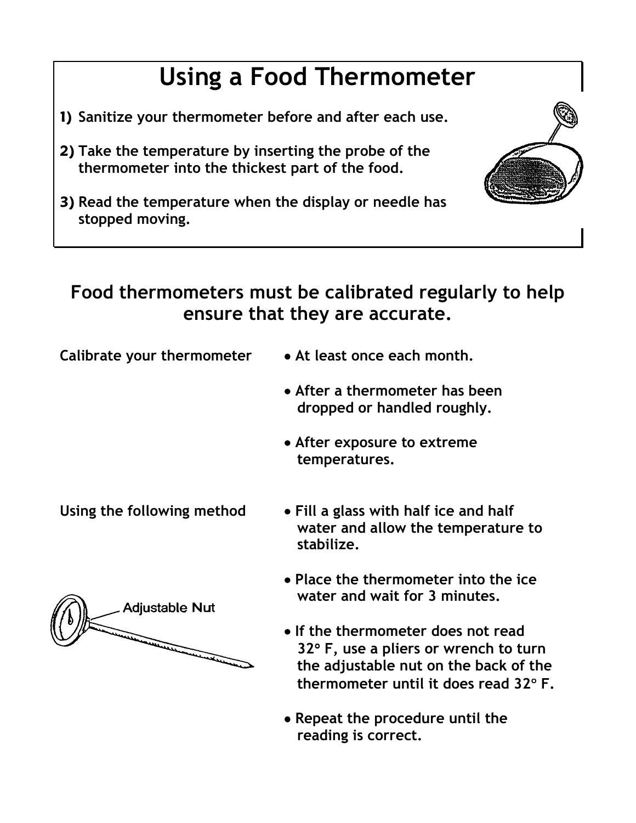## Using a Food Thermometer

- 1) Sanitize your thermometer before and after each use.
- 2) Take the temperature by inserting the probe of the thermometer into the thickest part of the food.





Calibrate your thermometer • At least once each month.

- 
- After a thermometer has been dropped or handled roughly.
- After exposure to extreme temperatures.

- Using the following method Fill a glass with half ice and half water and allow the temperature to stabilize.
	- Place the thermometer into the ice water and wait for 3 minutes.
	- If the thermometer does not read 32° F, use a pliers or wrench to turn the adjustable nut on the back of the thermometer until it does read 32° F.
	- Repeat the procedure until the reading is correct.



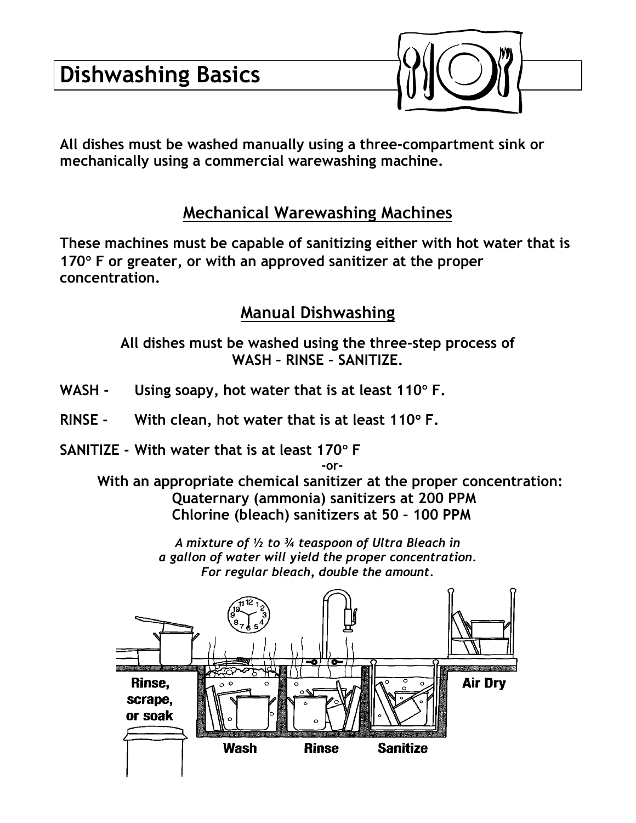

All dishes must be washed manually using a three-compartment sink or mechanically using a commercial warewashing machine.

#### Mechanical Warewashing Machines

These machines must be capable of sanitizing either with hot water that is 170° F or greater, or with an approved sanitizer at the proper concentration.

#### Manual Dishwashing

All dishes must be washed using the three-step process of WASH – RINSE – SANITIZE.

- WASH Using soapy, hot water that is at least  $110^{\circ}$  F.
- RINSE With clean, hot water that is at least  $110^{\circ}$  F.
- SANITIZE With water that is at least 170° F

 -or- With an appropriate chemical sanitizer at the proper concentration: Quaternary (ammonia) sanitizers at 200 PPM Chlorine (bleach) sanitizers at 50 – 100 PPM

> A mixture of ½ to ¾ teaspoon of Ultra Bleach in a gallon of water will yield the proper concentration. For regular bleach, double the amount.

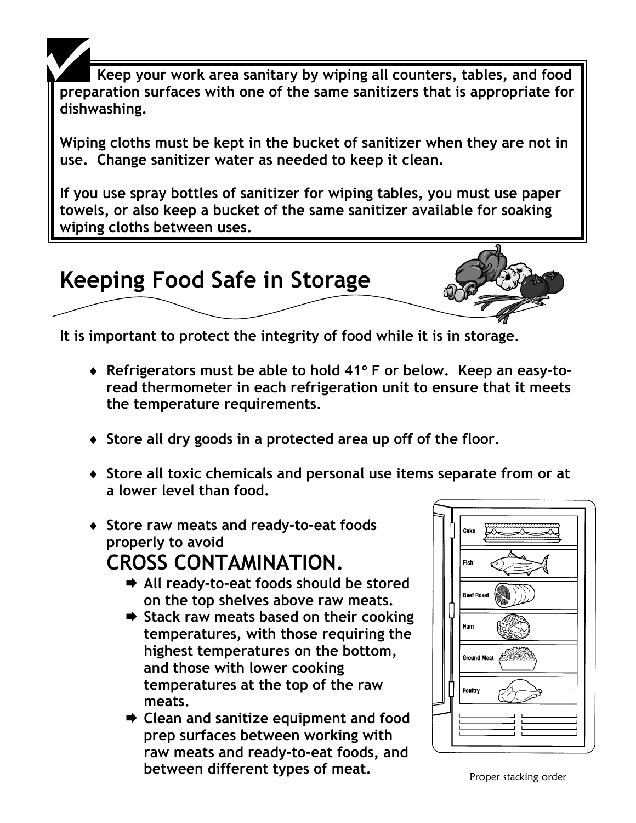Keep your work area sanitary by wiping all counters, tables, and food preparation surfaces with one of the same sanitizers that is appropriate for dishwashing.

Wiping cloths must be kept in the bucket of sanitizer when they are not in use. Change sanitizer water as needed to keep it clean.

If you use spray bottles of sanitizer for wiping tables, you must use paper towels, or also keep a bucket of the same sanitizer available for soaking wiping cloths between uses.



It is important to protect the integrity of food while it is in storage.

- ♦ Refrigerators must be able to hold 41° F or below. Keep an easy-toread thermometer in each refrigeration unit to ensure that it meets the temperature requirements.
- ♦ Store all dry goods in a protected area up off of the floor.
- ♦ Store all toxic chemicals and personal use items separate from or at a lower level than food.
- ♦ Store raw meats and ready-to-eat foods properly to avoid CROSS CONTAMINATION.
	- **→ All ready-to-eat foods should be stored** on the top shelves above raw meats.
	- $\rightarrow$  Stack raw meats based on their cooking temperatures, with those requiring the highest temperatures on the bottom, and those with lower cooking temperatures at the top of the raw meats.
	- **→ Clean and sanitize equipment and food** prep surfaces between working with raw meats and ready-to-eat foods, and between different types of meat. Proper stacking order